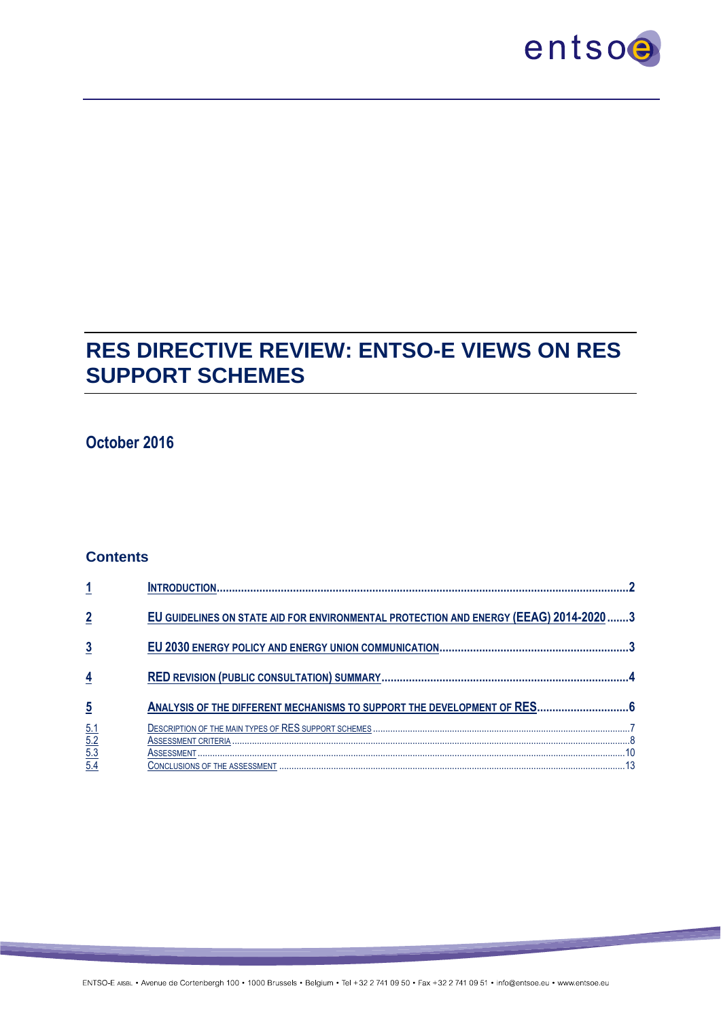

# **RES DIRECTIVE REVIEW: ENTSO-E VIEWS ON RES SUPPORT SCHEMES**

## **October 2016**

#### **Contents**

|                                        | EU GUIDELINES ON STATE AID FOR ENVIRONMENTAL PROTECTION AND ENERGY (EEAG) 2014-2020 3 |  |
|----------------------------------------|---------------------------------------------------------------------------------------|--|
| 3                                      |                                                                                       |  |
| $\overline{4}$                         |                                                                                       |  |
| $\overline{5}$                         | ANALYSIS OF THE DIFFERENT MECHANISMS TO SUPPORT THE DEVELOPMENT OF RES 6              |  |
| $\frac{5.1}{5.2}$<br>$\frac{5.3}{5.4}$ |                                                                                       |  |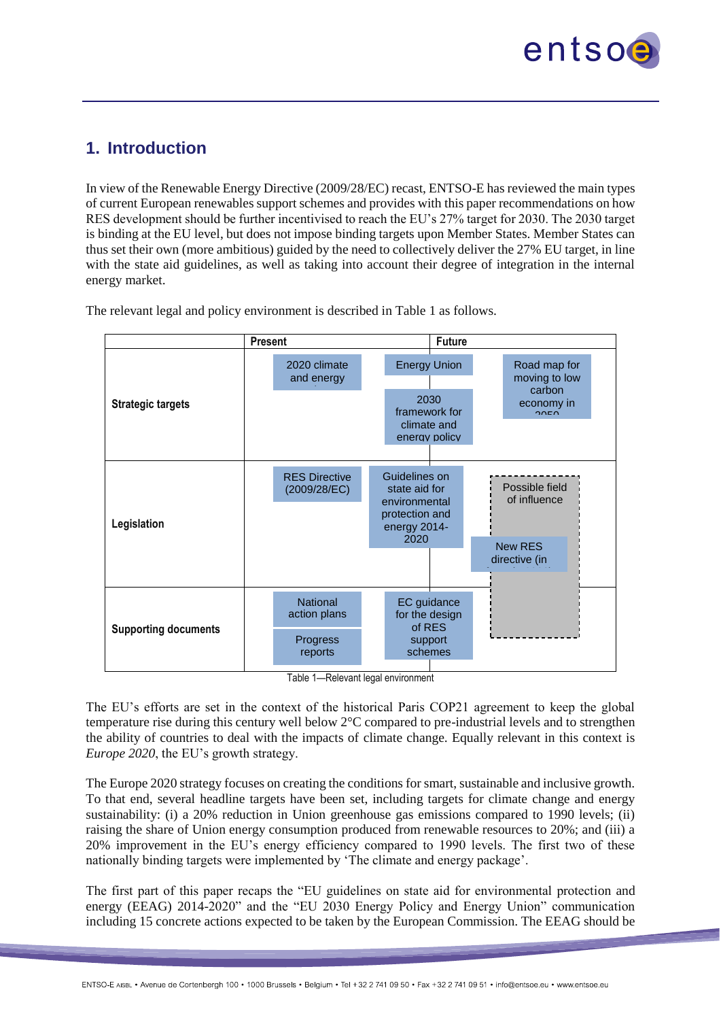

# <span id="page-1-0"></span>**1. Introduction**

In view of the Renewable Energy Directive (2009/28/EC) recast, ENTSO-E has reviewed the main types of current European renewables support schemes and provides with this paper recommendations on how RES development should be further incentivised to reach the EU's 27% target for 2030. The 2030 target is binding at the EU level, but does not impose binding targets upon Member States. Member States can thus set their own (more ambitious) guided by the need to collectively deliver the 27% EU target, in line with the state aid guidelines, as well as taking into account their degree of integration in the internal energy market.

**Present Future Strategic targets Legislation Supporting documents** 2020 climate and energy package in the second second second second second second second second second second second second second second second second second second second second second second second second second second second second second seco Energy Union 2030 framework for climate and energy policy Road map for moving to low carbon economy in  $\overline{a}$ RES Directive (2009/28/EC) Guidelines on state aid for environmental protection and energy 2014- 2020 **National** action plans EC guidance for the design of RES support schemes Progress reports Possible field of influence New RES directive (in force in 2020)

The relevant legal and policy environment is described in Table 1 as follows.

Table 1—Relevant legal environment

The EU's efforts are set in the context of the historical Paris COP21 agreement to keep the global temperature rise during this century well below 2°C compared to pre-industrial levels and to strengthen the ability of countries to deal with the impacts of climate change. Equally relevant in this context is *Europe 2020*, the EU's growth strategy.

The Europe 2020 strategy focuses on creating the conditions for smart, sustainable and inclusive growth. To that end, several headline targets have been set, including targets for climate change and energy sustainability: (i) a 20% reduction in Union greenhouse gas emissions compared to 1990 levels; (ii) raising the share of Union energy consumption produced from renewable resources to 20%; and (iii) a 20% improvement in the EU's energy efficiency compared to 1990 levels. The first two of these nationally binding targets were implemented by 'The climate and energy package'.

The first part of this paper recaps the "EU guidelines on state aid for environmental protection and energy (EEAG) 2014-2020" and the "EU 2030 Energy Policy and Energy Union" communication including 15 concrete actions expected to be taken by the European Commission. The EEAG should be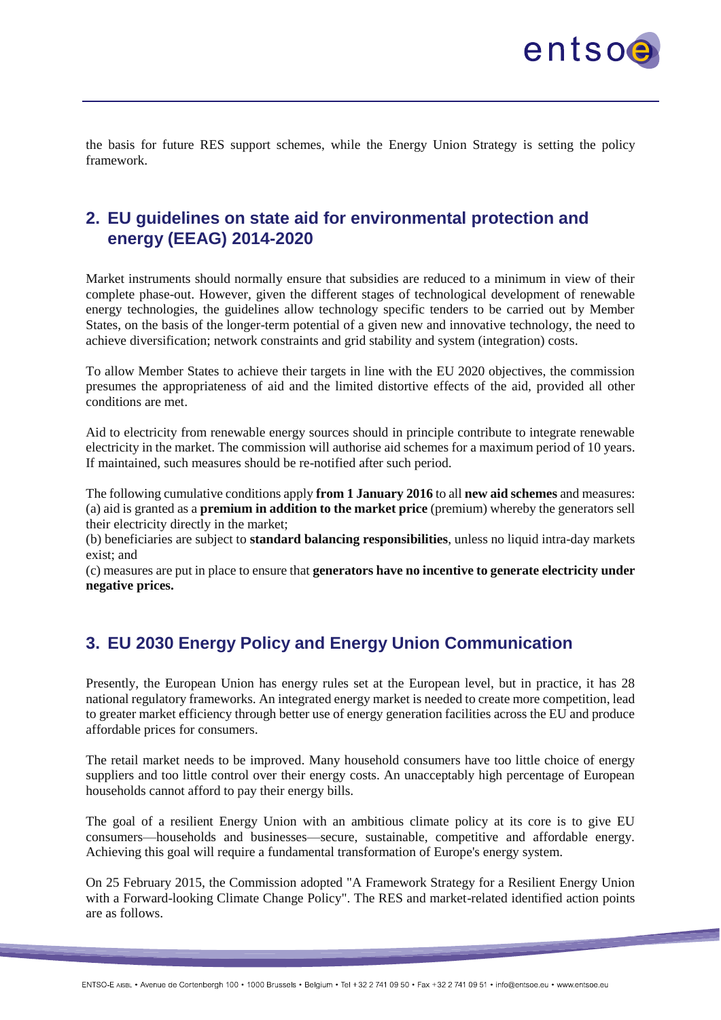

the basis for future RES support schemes, while the Energy Union Strategy is setting the policy framework.

# <span id="page-2-0"></span>**2. EU guidelines on state aid for environmental protection and energy (EEAG) 2014-2020**

Market instruments should normally ensure that subsidies are reduced to a minimum in view of their complete phase-out. However, given the different stages of technological development of renewable energy technologies, the guidelines allow technology specific tenders to be carried out by Member States, on the basis of the longer-term potential of a given new and innovative technology, the need to achieve diversification; network constraints and grid stability and system (integration) costs.

To allow Member States to achieve their targets in line with the EU 2020 objectives, the commission presumes the appropriateness of aid and the limited distortive effects of the aid, provided all other conditions are met.

Aid to electricity from renewable energy sources should in principle contribute to integrate renewable electricity in the market. The commission will authorise aid schemes for a maximum period of 10 years. If maintained, such measures should be re-notified after such period.

The following cumulative conditions apply **from 1 January 2016** to all **new aid schemes** and measures: (a) aid is granted as a **premium in addition to the market price** (premium) whereby the generators sell their electricity directly in the market;

(b) beneficiaries are subject to **standard balancing responsibilities**, unless no liquid intra-day markets exist; and

(c) measures are put in place to ensure that **generators have no incentive to generate electricity under negative prices.**

# <span id="page-2-1"></span>**3. EU 2030 Energy Policy and Energy Union Communication**

Presently, the European Union has energy rules set at the European level, but in practice, it has 28 national regulatory frameworks. An integrated energy market is needed to create more competition, lead to greater market efficiency through better use of energy generation facilities across the EU and produce affordable prices for consumers.

The retail market needs to be improved. Many household consumers have too little choice of energy suppliers and too little control over their energy costs. An unacceptably high percentage of European households cannot afford to pay their energy bills.

The goal of a resilient Energy Union with an ambitious climate policy at its core is to give EU consumers—households and businesses—secure, sustainable, competitive and affordable energy. Achieving this goal will require a fundamental transformation of Europe's energy system.

On 25 February 2015, the Commission adopted "A Framework Strategy for a Resilient Energy Union with a Forward-looking Climate Change Policy". The RES and market-related identified action points are as follows.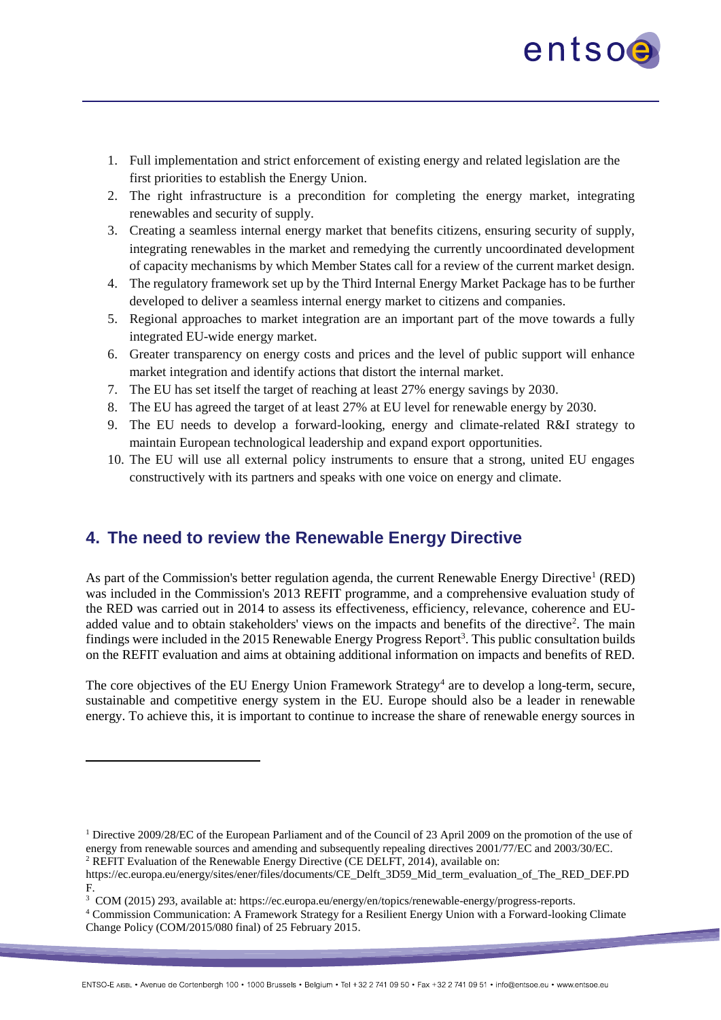

- 1. Full implementation and strict enforcement of existing energy and related legislation are the first priorities to establish the Energy Union.
- 2. The right infrastructure is a precondition for completing the energy market, integrating renewables and security of supply.
- 3. Creating a seamless internal energy market that benefits citizens, ensuring security of supply, integrating renewables in the market and remedying the currently uncoordinated development of capacity mechanisms by which Member States call for a review of the current market design.
- 4. The regulatory framework set up by the Third Internal Energy Market Package has to be further developed to deliver a seamless internal energy market to citizens and companies.
- 5. Regional approaches to market integration are an important part of the move towards a fully integrated EU-wide energy market.
- 6. Greater transparency on energy costs and prices and the level of public support will enhance market integration and identify actions that distort the internal market.
- 7. The EU has set itself the target of reaching at least 27% energy savings by 2030.
- 8. The EU has agreed the target of at least 27% at EU level for renewable energy by 2030.
- 9. The EU needs to develop a forward-looking, energy and climate-related R&I strategy to maintain European technological leadership and expand export opportunities.
- 10. The EU will use all external policy instruments to ensure that a strong, united EU engages constructively with its partners and speaks with one voice on energy and climate.

# <span id="page-3-0"></span>**4. The need to review the Renewable Energy Directive**

 $\overline{a}$ 

As part of the Commission's better regulation agenda, the current Renewable Energy Directive<sup>1</sup> (RED) was included in the Commission's 2013 REFIT programme, and a comprehensive evaluation study of the RED was carried out in 2014 to assess its effectiveness, efficiency, relevance, coherence and EUadded value and to obtain stakeholders' views on the impacts and benefits of the directive<sup>2</sup>. The main findings were included in the 2015 Renewable Energy Progress Report<sup>3</sup>. This public consultation builds on the REFIT evaluation and aims at obtaining additional information on impacts and benefits of RED.

The core objectives of the EU Energy Union Framework Strategy<sup>4</sup> are to develop a long-term, secure, sustainable and competitive energy system in the EU. Europe should also be a leader in renewable energy. To achieve this, it is important to continue to increase the share of renewable energy sources in

<sup>&</sup>lt;sup>1</sup> Directive 2009/28/EC of the European Parliament and of the Council of 23 April 2009 on the promotion of the use of energy from renewable sources and amending and subsequently repealing directives 2001/77/EC and 2003/30/EC. <sup>2</sup> REFIT Evaluation of the Renewable Energy Directive (CE DELFT, 2014), available on:

https://ec.europa.eu/energy/sites/ener/files/documents/CE\_Delft\_3D59\_Mid\_term\_evaluation\_of\_The\_RED\_DEF.PD

F.<br><sup>3</sup> COM (2015) 293, available at: https://ec.europa.eu/energy/en/topics/renewable-energy/progress-reports.

<sup>4</sup> Commission Communication: A Framework Strategy for a Resilient Energy Union with a Forward-looking Climate Change Policy (COM/2015/080 final) of 25 February 2015.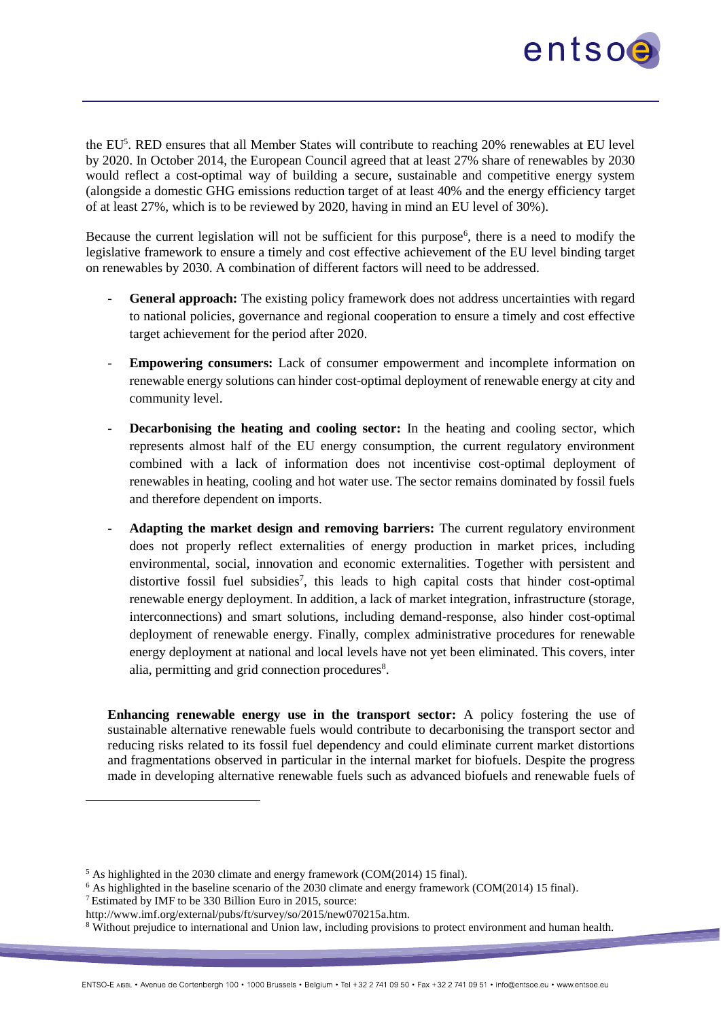

the EU<sup>5</sup>. RED ensures that all Member States will contribute to reaching 20% renewables at EU level by 2020. In October 2014, the European Council agreed that at least 27% share of renewables by 2030 would reflect a cost-optimal way of building a secure, sustainable and competitive energy system (alongside a domestic GHG emissions reduction target of at least 40% and the energy efficiency target of at least 27%, which is to be reviewed by 2020, having in mind an EU level of 30%).

Because the current legislation will not be sufficient for this purpose<sup>6</sup>, there is a need to modify the legislative framework to ensure a timely and cost effective achievement of the EU level binding target on renewables by 2030. A combination of different factors will need to be addressed.

- General approach: The existing policy framework does not address uncertainties with regard to national policies, governance and regional cooperation to ensure a timely and cost effective target achievement for the period after 2020.
- **Empowering consumers:** Lack of consumer empowerment and incomplete information on renewable energy solutions can hinder cost-optimal deployment of renewable energy at city and community level.
- **Decarbonising the heating and cooling sector:** In the heating and cooling sector, which represents almost half of the EU energy consumption, the current regulatory environment combined with a lack of information does not incentivise cost-optimal deployment of renewables in heating, cooling and hot water use. The sector remains dominated by fossil fuels and therefore dependent on imports.
- Adapting the market design and removing barriers: The current regulatory environment does not properly reflect externalities of energy production in market prices, including environmental, social, innovation and economic externalities. Together with persistent and distortive fossil fuel subsidies<sup>7</sup>, this leads to high capital costs that hinder cost-optimal renewable energy deployment. In addition, a lack of market integration, infrastructure (storage, interconnections) and smart solutions, including demand-response, also hinder cost-optimal deployment of renewable energy. Finally, complex administrative procedures for renewable energy deployment at national and local levels have not yet been eliminated. This covers, inter alia, permitting and grid connection procedures<sup>8</sup>.

**Enhancing renewable energy use in the transport sector:** A policy fostering the use of sustainable alternative renewable fuels would contribute to decarbonising the transport sector and reducing risks related to its fossil fuel dependency and could eliminate current market distortions and fragmentations observed in particular in the internal market for biofuels. Despite the progress made in developing alternative renewable fuels such as advanced biofuels and renewable fuels of

<sup>7</sup> Estimated by IMF to be 330 Billion Euro in 2015, source:

<sup>&</sup>lt;sup>5</sup> As highlighted in the 2030 climate and energy framework (COM(2014) 15 final).

<sup>&</sup>lt;sup>6</sup> As highlighted in the baseline scenario of the 2030 climate and energy framework (COM(2014) 15 final).

http://www.imf.org/external/pubs/ft/survey/so/2015/new070215a.htm.

<sup>&</sup>lt;sup>8</sup> Without prejudice to international and Union law, including provisions to protect environment and human health.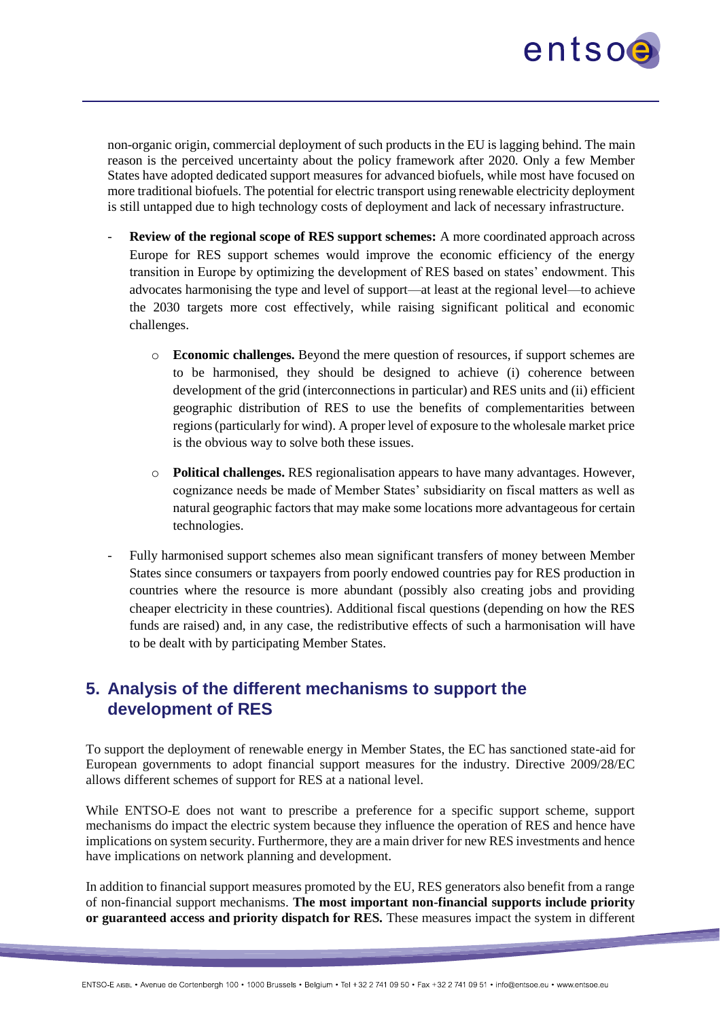

non-organic origin, commercial deployment of such products in the EU is lagging behind. The main reason is the perceived uncertainty about the policy framework after 2020. Only a few Member States have adopted dedicated support measures for advanced biofuels, while most have focused on more traditional biofuels. The potential for electric transport using renewable electricity deployment is still untapped due to high technology costs of deployment and lack of necessary infrastructure.

- **Review of the regional scope of RES support schemes:** A more coordinated approach across Europe for RES support schemes would improve the economic efficiency of the energy transition in Europe by optimizing the development of RES based on states' endowment. This advocates harmonising the type and level of support—at least at the regional level—to achieve the 2030 targets more cost effectively, while raising significant political and economic challenges.
	- o **Economic challenges.** Beyond the mere question of resources, if support schemes are to be harmonised, they should be designed to achieve (i) coherence between development of the grid (interconnections in particular) and RES units and (ii) efficient geographic distribution of RES to use the benefits of complementarities between regions (particularly for wind). A proper level of exposure to the wholesale market price is the obvious way to solve both these issues.
	- o **Political challenges.** RES regionalisation appears to have many advantages. However, cognizance needs be made of Member States' subsidiarity on fiscal matters as well as natural geographic factors that may make some locations more advantageous for certain technologies.
- Fully harmonised support schemes also mean significant transfers of money between Member States since consumers or taxpayers from poorly endowed countries pay for RES production in countries where the resource is more abundant (possibly also creating jobs and providing cheaper electricity in these countries). Additional fiscal questions (depending on how the RES funds are raised) and, in any case, the redistributive effects of such a harmonisation will have to be dealt with by participating Member States.

# <span id="page-5-0"></span>**5. Analysis of the different mechanisms to support the development of RES**

To support the deployment of renewable energy in Member States, the EC has sanctioned state-aid for European governments to adopt financial support measures for the industry. Directive 2009/28/EC allows different schemes of support for RES at a national level.

While ENTSO-E does not want to prescribe a preference for a specific support scheme, support mechanisms do impact the electric system because they influence the operation of RES and hence have implications on system security. Furthermore, they are a main driver for new RES investments and hence have implications on network planning and development.

In addition to financial support measures promoted by the EU, RES generators also benefit from a range of non-financial support mechanisms. **The most important non-financial supports include priority or guaranteed access and priority dispatch for RES.** These measures impact the system in different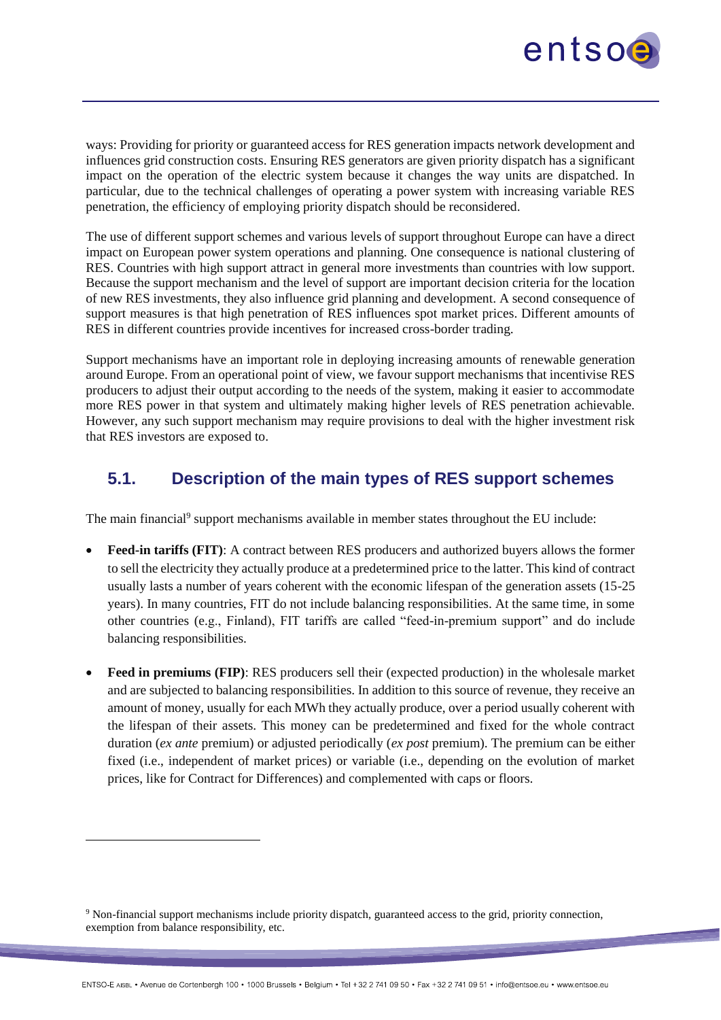

ways: Providing for priority or guaranteed access for RES generation impacts network development and influences grid construction costs. Ensuring RES generators are given priority dispatch has a significant impact on the operation of the electric system because it changes the way units are dispatched. In particular, due to the technical challenges of operating a power system with increasing variable RES penetration, the efficiency of employing priority dispatch should be reconsidered.

The use of different support schemes and various levels of support throughout Europe can have a direct impact on European power system operations and planning. One consequence is national clustering of RES. Countries with high support attract in general more investments than countries with low support. Because the support mechanism and the level of support are important decision criteria for the location of new RES investments, they also influence grid planning and development. A second consequence of support measures is that high penetration of RES influences spot market prices. Different amounts of RES in different countries provide incentives for increased cross-border trading.

Support mechanisms have an important role in deploying increasing amounts of renewable generation around Europe. From an operational point of view, we favour support mechanisms that incentivise RES producers to adjust their output according to the needs of the system, making it easier to accommodate more RES power in that system and ultimately making higher levels of RES penetration achievable. However, any such support mechanism may require provisions to deal with the higher investment risk that RES investors are exposed to.

### <span id="page-6-0"></span>**5.1. Description of the main types of RES support schemes**

The main financial<sup>9</sup> support mechanisms available in member states throughout the EU include:

- **Feed-in tariffs (FIT)**: A contract between RES producers and authorized buyers allows the former to sell the electricity they actually produce at a predetermined price to the latter. This kind of contract usually lasts a number of years coherent with the economic lifespan of the generation assets (15-25 years). In many countries, FIT do not include balancing responsibilities. At the same time, in some other countries (e.g., Finland), FIT tariffs are called "feed-in-premium support" and do include balancing responsibilities.
- **Feed in premiums (FIP)**: RES producers sell their (expected production) in the wholesale market and are subjected to balancing responsibilities. In addition to this source of revenue, they receive an amount of money, usually for each MWh they actually produce, over a period usually coherent with the lifespan of their assets. This money can be predetermined and fixed for the whole contract duration (*ex ante* premium) or adjusted periodically (*ex post* premium). The premium can be either fixed (i.e., independent of market prices) or variable (i.e., depending on the evolution of market prices, like for Contract for Differences) and complemented with caps or floors.

<sup>9</sup> Non-financial support mechanisms include priority dispatch, guaranteed access to the grid, priority connection, exemption from balance responsibility, etc.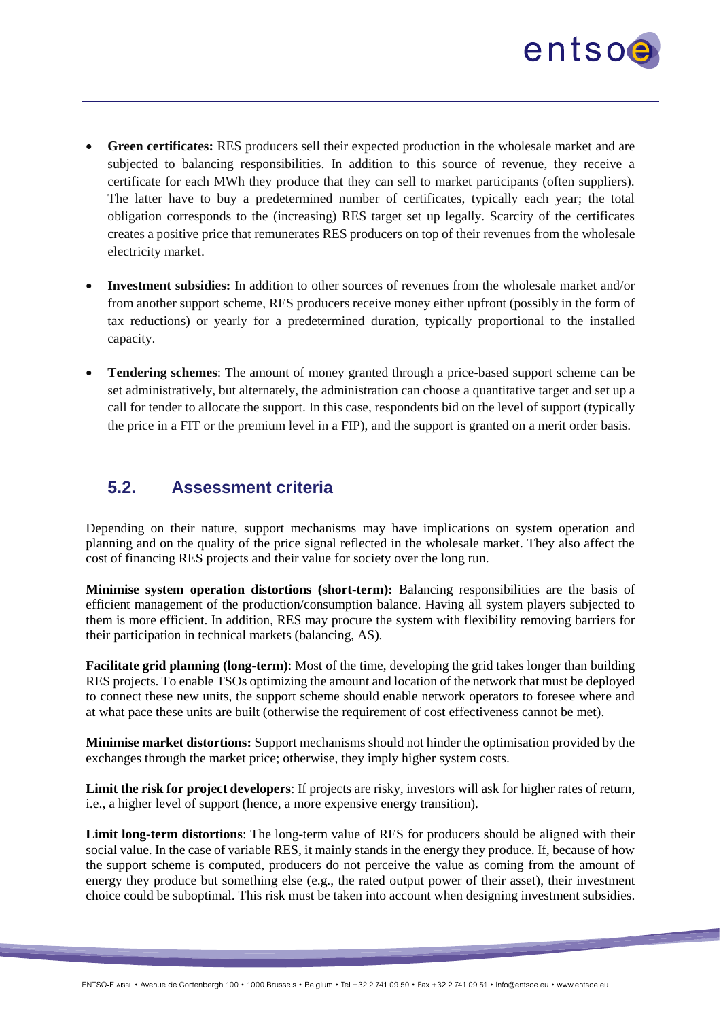

- **Green certificates:** RES producers sell their expected production in the wholesale market and are subjected to balancing responsibilities. In addition to this source of revenue, they receive a certificate for each MWh they produce that they can sell to market participants (often suppliers). The latter have to buy a predetermined number of certificates, typically each year; the total obligation corresponds to the (increasing) RES target set up legally. Scarcity of the certificates creates a positive price that remunerates RES producers on top of their revenues from the wholesale electricity market.
- **Investment subsidies:** In addition to other sources of revenues from the wholesale market and/or from another support scheme, RES producers receive money either upfront (possibly in the form of tax reductions) or yearly for a predetermined duration, typically proportional to the installed capacity.
- **Tendering schemes**: The amount of money granted through a price-based support scheme can be set administratively, but alternately, the administration can choose a quantitative target and set up a call for tender to allocate the support. In this case, respondents bid on the level of support (typically the price in a FIT or the premium level in a FIP), and the support is granted on a merit order basis.

### <span id="page-7-0"></span>**5.2. Assessment criteria**

Depending on their nature, support mechanisms may have implications on system operation and planning and on the quality of the price signal reflected in the wholesale market. They also affect the cost of financing RES projects and their value for society over the long run.

**Minimise system operation distortions (short-term):** Balancing responsibilities are the basis of efficient management of the production/consumption balance. Having all system players subjected to them is more efficient. In addition, RES may procure the system with flexibility removing barriers for their participation in technical markets (balancing, AS).

**Facilitate grid planning (long-term)**: Most of the time, developing the grid takes longer than building RES projects. To enable TSOs optimizing the amount and location of the network that must be deployed to connect these new units, the support scheme should enable network operators to foresee where and at what pace these units are built (otherwise the requirement of cost effectiveness cannot be met).

**Minimise market distortions:** Support mechanisms should not hinder the optimisation provided by the exchanges through the market price; otherwise, they imply higher system costs.

**Limit the risk for project developers**: If projects are risky, investors will ask for higher rates of return, i.e., a higher level of support (hence, a more expensive energy transition).

**Limit long-term distortions**: The long-term value of RES for producers should be aligned with their social value. In the case of variable RES, it mainly stands in the energy they produce. If, because of how the support scheme is computed, producers do not perceive the value as coming from the amount of energy they produce but something else (e.g., the rated output power of their asset), their investment choice could be suboptimal. This risk must be taken into account when designing investment subsidies.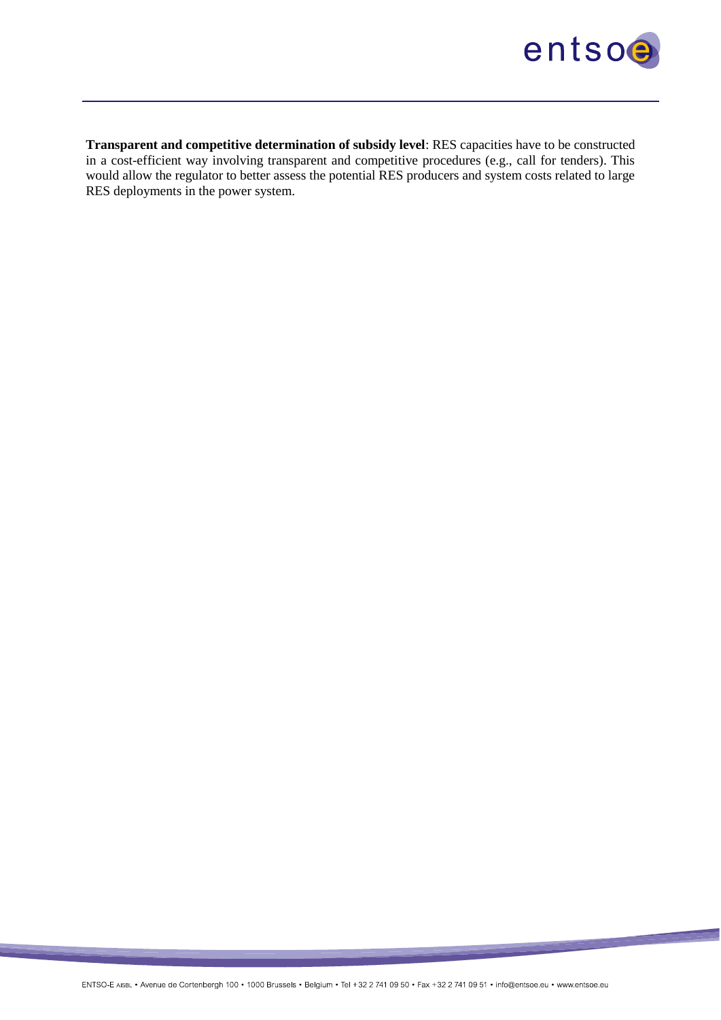

**Transparent and competitive determination of subsidy level**: RES capacities have to be constructed in a cost-efficient way involving transparent and competitive procedures (e.g., call for tenders). This would allow the regulator to better assess the potential RES producers and system costs related to large RES deployments in the power system.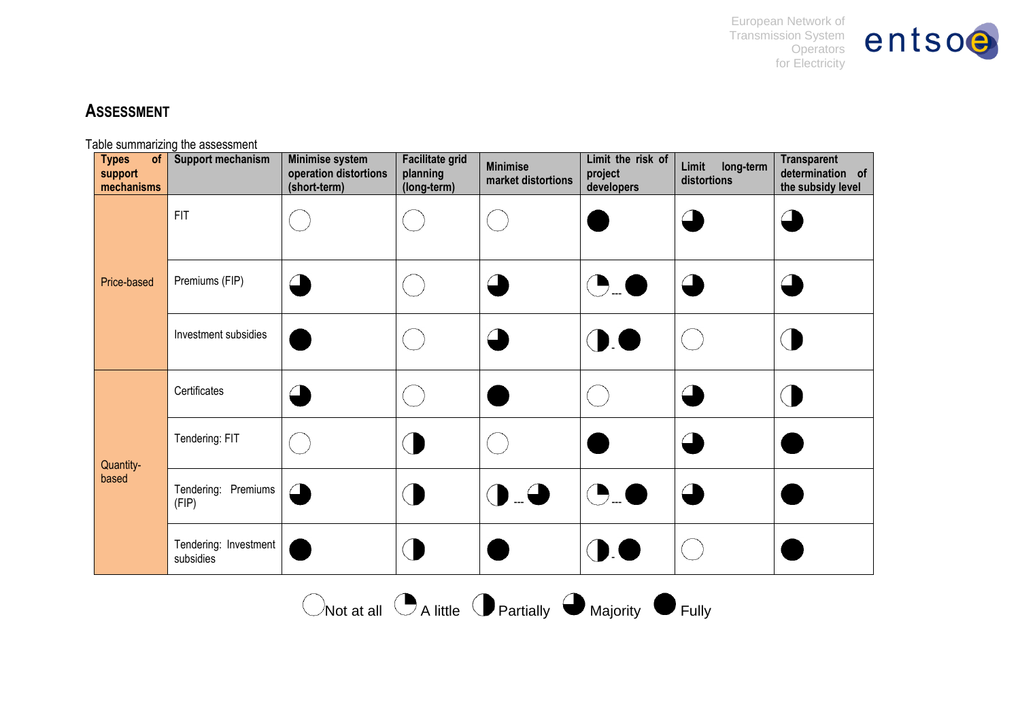European Network of Transmission System **Operators** for Electricity



# **ASSESSMENT**

Table summarizing the assessment

<span id="page-9-0"></span>

| <b>Types</b><br>of<br>support<br>mechanisms | <b>Support mechanism</b>           | <b>Minimise system</b><br>operation distortions<br>(short-term) | <b>Facilitate grid</b><br>planning<br>(long-term) | <b>Minimise</b><br>market distortions | Limit the risk of<br>project<br>developers | Limit<br>long-term<br>distortions | <b>Transparent</b><br>determination of<br>the subsidy level |
|---------------------------------------------|------------------------------------|-----------------------------------------------------------------|---------------------------------------------------|---------------------------------------|--------------------------------------------|-----------------------------------|-------------------------------------------------------------|
| Price-based                                 | <b>FIT</b>                         |                                                                 |                                                   |                                       |                                            |                                   |                                                             |
|                                             | Premiums (FIP)                     | $\overline{\phantom{a}}$                                        |                                                   |                                       |                                            |                                   |                                                             |
|                                             | Investment subsidies               |                                                                 |                                                   |                                       | $\mathbf{D}$                               |                                   |                                                             |
| Quantity-<br>based                          | Certificates                       | $\overline{\phantom{a}}$                                        |                                                   |                                       |                                            |                                   |                                                             |
|                                             | Tendering: FIT                     |                                                                 |                                                   |                                       |                                            |                                   |                                                             |
|                                             | Tendering: Premiums<br>(FIP)       | $\subset$                                                       |                                                   | $\blacklozenge$                       | (D_(                                       |                                   |                                                             |
|                                             | Tendering: Investment<br>subsidies |                                                                 |                                                   |                                       | ∪∪                                         |                                   |                                                             |

 $\bigcirc$ Not at all  $\bigcirc$  A little  $\bigcirc$  Partially  $\bigcirc$  Majority  $\bigcirc$  Fully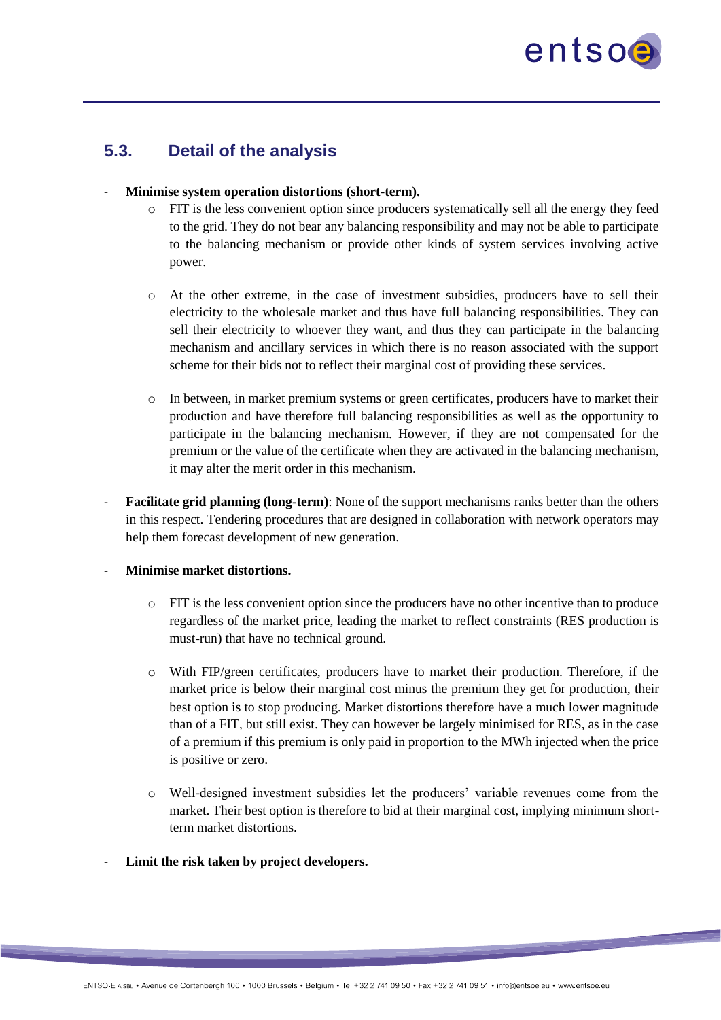

### **5.3. Detail of the analysis**

#### - **Minimise system operation distortions (short-term).**

- $\circ$  FIT is the less convenient option since producers systematically sell all the energy they feed to the grid. They do not bear any balancing responsibility and may not be able to participate to the balancing mechanism or provide other kinds of system services involving active power.
- o At the other extreme, in the case of investment subsidies, producers have to sell their electricity to the wholesale market and thus have full balancing responsibilities. They can sell their electricity to whoever they want, and thus they can participate in the balancing mechanism and ancillary services in which there is no reason associated with the support scheme for their bids not to reflect their marginal cost of providing these services.
- o In between, in market premium systems or green certificates, producers have to market their production and have therefore full balancing responsibilities as well as the opportunity to participate in the balancing mechanism. However, if they are not compensated for the premium or the value of the certificate when they are activated in the balancing mechanism, it may alter the merit order in this mechanism.
- **Facilitate grid planning (long-term)**: None of the support mechanisms ranks better than the others in this respect. Tendering procedures that are designed in collaboration with network operators may help them forecast development of new generation.

#### - **Minimise market distortions.**

- $\circ$  FIT is the less convenient option since the producers have no other incentive than to produce regardless of the market price, leading the market to reflect constraints (RES production is must-run) that have no technical ground.
- $\circ$  With FIP/green certificates, producers have to market their production. Therefore, if the market price is below their marginal cost minus the premium they get for production, their best option is to stop producing. Market distortions therefore have a much lower magnitude than of a FIT, but still exist. They can however be largely minimised for RES, as in the case of a premium if this premium is only paid in proportion to the MWh injected when the price is positive or zero.
- o Well-designed investment subsidies let the producers' variable revenues come from the market. Their best option is therefore to bid at their marginal cost, implying minimum shortterm market distortions.
- Limit the risk taken by project developers.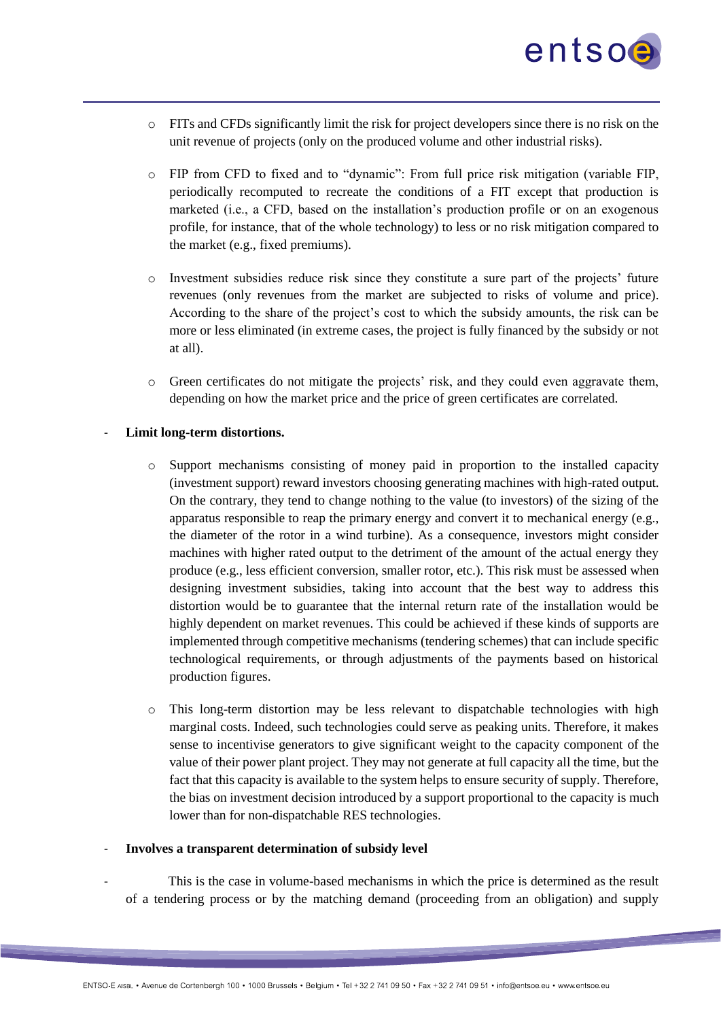

- o FITs and CFDs significantly limit the risk for project developers since there is no risk on the unit revenue of projects (only on the produced volume and other industrial risks).
- o FIP from CFD to fixed and to "dynamic": From full price risk mitigation (variable FIP, periodically recomputed to recreate the conditions of a FIT except that production is marketed (i.e., a CFD, based on the installation's production profile or on an exogenous profile, for instance, that of the whole technology) to less or no risk mitigation compared to the market (e.g., fixed premiums).
- o Investment subsidies reduce risk since they constitute a sure part of the projects' future revenues (only revenues from the market are subjected to risks of volume and price). According to the share of the project's cost to which the subsidy amounts, the risk can be more or less eliminated (in extreme cases, the project is fully financed by the subsidy or not at all).
- o Green certificates do not mitigate the projects' risk, and they could even aggravate them, depending on how the market price and the price of green certificates are correlated.

#### Limit long-term distortions.

- o Support mechanisms consisting of money paid in proportion to the installed capacity (investment support) reward investors choosing generating machines with high-rated output. On the contrary, they tend to change nothing to the value (to investors) of the sizing of the apparatus responsible to reap the primary energy and convert it to mechanical energy (e.g., the diameter of the rotor in a wind turbine). As a consequence, investors might consider machines with higher rated output to the detriment of the amount of the actual energy they produce (e.g., less efficient conversion, smaller rotor, etc.). This risk must be assessed when designing investment subsidies, taking into account that the best way to address this distortion would be to guarantee that the internal return rate of the installation would be highly dependent on market revenues. This could be achieved if these kinds of supports are implemented through competitive mechanisms (tendering schemes) that can include specific technological requirements, or through adjustments of the payments based on historical production figures.
- $\circ$  This long-term distortion may be less relevant to dispatchable technologies with high marginal costs. Indeed, such technologies could serve as peaking units. Therefore, it makes sense to incentivise generators to give significant weight to the capacity component of the value of their power plant project. They may not generate at full capacity all the time, but the fact that this capacity is available to the system helps to ensure security of supply. Therefore, the bias on investment decision introduced by a support proportional to the capacity is much lower than for non-dispatchable RES technologies.

#### - **Involves a transparent determination of subsidy level**

This is the case in volume-based mechanisms in which the price is determined as the result of a tendering process or by the matching demand (proceeding from an obligation) and supply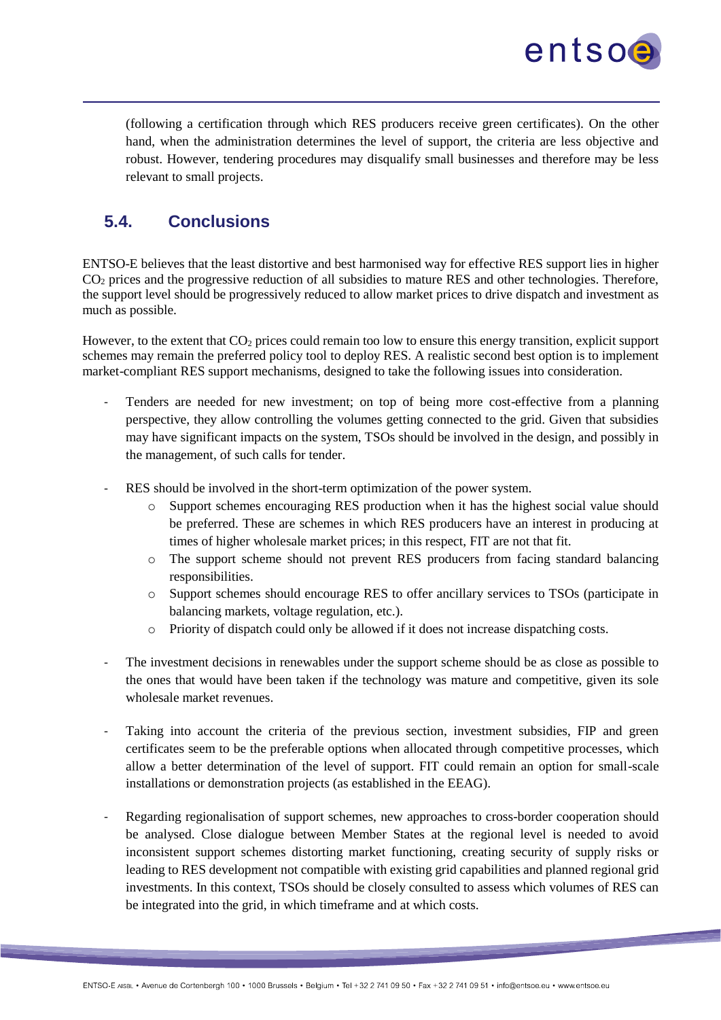entsoe

(following a certification through which RES producers receive green certificates). On the other hand, when the administration determines the level of support, the criteria are less objective and robust. However, tendering procedures may disqualify small businesses and therefore may be less relevant to small projects.

# <span id="page-12-0"></span>**5.4. Conclusions**

ENTSO-E believes that the least distortive and best harmonised way for effective RES support lies in higher CO<sup>2</sup> prices and the progressive reduction of all subsidies to mature RES and other technologies. Therefore, the support level should be progressively reduced to allow market prices to drive dispatch and investment as much as possible.

However, to the extent that  $CO<sub>2</sub>$  prices could remain too low to ensure this energy transition, explicit support schemes may remain the preferred policy tool to deploy RES. A realistic second best option is to implement market-compliant RES support mechanisms, designed to take the following issues into consideration.

- Tenders are needed for new investment; on top of being more cost-effective from a planning perspective, they allow controlling the volumes getting connected to the grid. Given that subsidies may have significant impacts on the system, TSOs should be involved in the design, and possibly in the management, of such calls for tender.
- RES should be involved in the short-term optimization of the power system.
	- Support schemes encouraging RES production when it has the highest social value should be preferred. These are schemes in which RES producers have an interest in producing at times of higher wholesale market prices; in this respect, FIT are not that fit.
	- o The support scheme should not prevent RES producers from facing standard balancing responsibilities.
	- o Support schemes should encourage RES to offer ancillary services to TSOs (participate in balancing markets, voltage regulation, etc.).
	- o Priority of dispatch could only be allowed if it does not increase dispatching costs.
- The investment decisions in renewables under the support scheme should be as close as possible to the ones that would have been taken if the technology was mature and competitive, given its sole wholesale market revenues.
- Taking into account the criteria of the previous section, investment subsidies, FIP and green certificates seem to be the preferable options when allocated through competitive processes, which allow a better determination of the level of support. FIT could remain an option for small-scale installations or demonstration projects (as established in the EEAG).
- Regarding regionalisation of support schemes, new approaches to cross-border cooperation should be analysed. Close dialogue between Member States at the regional level is needed to avoid inconsistent support schemes distorting market functioning, creating security of supply risks or leading to RES development not compatible with existing grid capabilities and planned regional grid investments. In this context, TSOs should be closely consulted to assess which volumes of RES can be integrated into the grid, in which timeframe and at which costs.